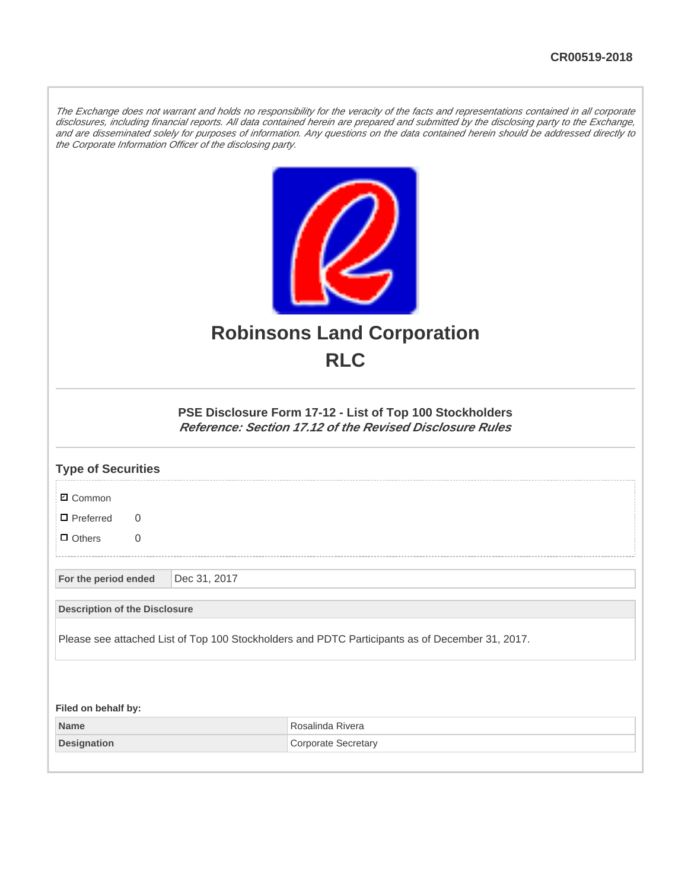The Exchange does not warrant and holds no responsibility for the veracity of the facts and representations contained in all corporate disclosures, including financial reports. All data contained herein are prepared and submitted by the disclosing party to the Exchange, and are disseminated solely for purposes of information. Any questions on the data contained herein should be addressed directly to the Corporate Information Officer of the disclosing party.



## **Robinsons Land Corporation RLC**

## **PSE Disclosure Form 17-12 - List of Top 100 Stockholders Reference: Section 17.12 of the Revised Disclosure Rules**

| <b>Type of Securities</b>                                                                       |              |                            |  |  |  |  |
|-------------------------------------------------------------------------------------------------|--------------|----------------------------|--|--|--|--|
| <b>☑</b> Common                                                                                 |              |                            |  |  |  |  |
| $\blacksquare$ Preferred<br>$\Omega$                                                            |              |                            |  |  |  |  |
| $\Box$ Others<br>$\overline{0}$                                                                 |              |                            |  |  |  |  |
| For the period ended                                                                            | Dec 31, 2017 |                            |  |  |  |  |
| <b>Description of the Disclosure</b>                                                            |              |                            |  |  |  |  |
| Please see attached List of Top 100 Stockholders and PDTC Participants as of December 31, 2017. |              |                            |  |  |  |  |
|                                                                                                 |              |                            |  |  |  |  |
| Filed on behalf by:                                                                             |              |                            |  |  |  |  |
| <b>Name</b>                                                                                     |              | Rosalinda Rivera           |  |  |  |  |
| <b>Designation</b>                                                                              |              | <b>Corporate Secretary</b> |  |  |  |  |
|                                                                                                 |              |                            |  |  |  |  |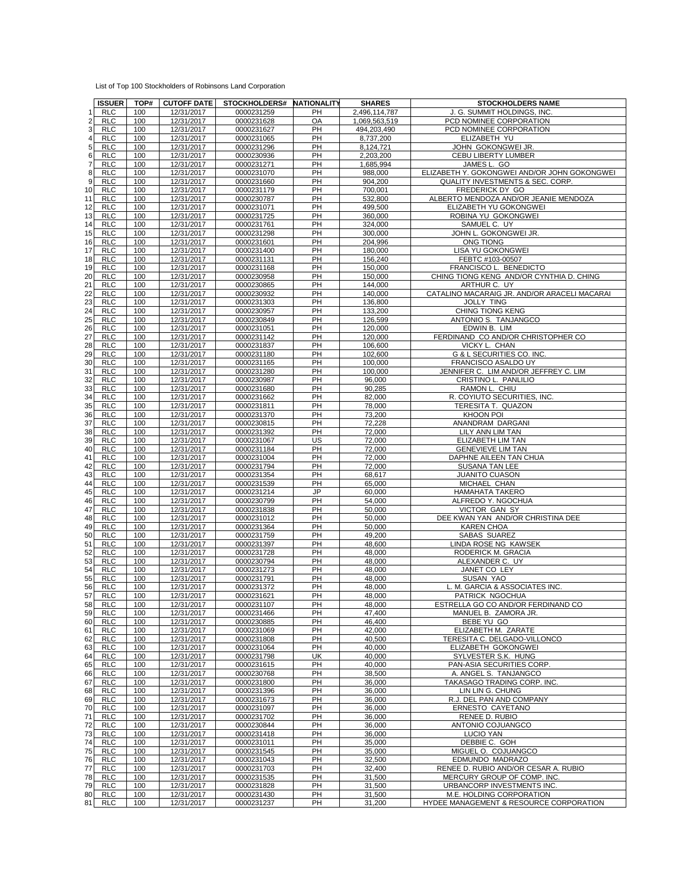| List of Top 100 Stockholders of Robinsons Land Corporation |  |  |  |
|------------------------------------------------------------|--|--|--|
|------------------------------------------------------------|--|--|--|

|                | <b>ISSUER</b> | TOP# | <b>CUTOFF DATE</b> | STOCKHOLDERS# NATIONALITY |           | <b>SHARES</b> | <b>STOCKHOLDERS NAME</b>                     |
|----------------|---------------|------|--------------------|---------------------------|-----------|---------------|----------------------------------------------|
| 1              | <b>RLC</b>    | 100  | 12/31/2017         | 0000231259                | <b>PH</b> | 2,496,114,787 | J. G. SUMMIT HOLDINGS. INC.                  |
| $\overline{2}$ | <b>RLC</b>    | 100  | 12/31/2017         | 0000231628                | OA        | 1.069.563.519 | PCD NOMINEE CORPORATION                      |
| 3              | <b>RLC</b>    | 100  | 12/31/2017         | 0000231627                | PH        | 494,203,490   | PCD NOMINEE CORPORATION                      |
|                | <b>RLC</b>    | 100  | 12/31/2017         | 0000231065                | PH        | 8,737,200     | ELIZABETH YU                                 |
| 5              | <b>RLC</b>    | 100  | 12/31/2017         | 0000231296                | PH        | 8,124,721     | JOHN GOKONGWEI JR.                           |
| 6              | <b>RLC</b>    | 100  | 12/31/2017         | 0000230936                | PH        | 2,203,200     | CEBU LIBERTY LUMBER                          |
| $\overline{7}$ | <b>RLC</b>    | 100  | 12/31/2017         | 0000231271                | PH        | 1,685,994     | JAMES L. GO                                  |
| 8              | <b>RLC</b>    | 100  | 12/31/2017         | 0000231070                | PH        | 988,000       | ELIZABETH Y. GOKONGWEI AND/OR JOHN GOKONGWEI |
| 9              | <b>RLC</b>    | 100  | 12/31/2017         | 0000231660                | PH        | 904,200       | <b>QUALITY INVESTMENTS &amp; SEC. CORP.</b>  |
| 10             | <b>RLC</b>    | 100  | 12/31/2017         | 0000231179                | PH        | 700,001       | FREDERICK DY GO                              |
|                | <b>RLC</b>    | 100  |                    |                           | PH        |               |                                              |
| 11             |               |      | 12/31/2017         | 0000230787                |           | 532,800       | ALBERTO MENDOZA AND/OR JEANIE MENDOZA        |
| 12             | <b>RLC</b>    | 100  | 12/31/2017         | 0000231071                | PH        | 499,500       | ELIZABETH YU GOKONGWEI                       |
| 13             | <b>RLC</b>    | 100  | 12/31/2017         | 0000231725                | <b>PH</b> | 360,000       | ROBINA YU GOKONGWEI                          |
| 14             | <b>RLC</b>    | 100  | 12/31/2017         | 0000231761                | PH        | 324,000       | SAMUEL C. UY                                 |
| 15             | <b>RLC</b>    | 100  | 12/31/2017         | 0000231298                | PH        | 300,000       | JOHN L. GOKONGWEI JR.                        |
| 16             | <b>RLC</b>    | 100  | 12/31/2017         | 0000231601                | PH        | 204,996       | ONG TIONG                                    |
| 17             | <b>RLC</b>    | 100  | 12/31/2017         | 0000231400                | PH        | 180.000       | LISA YU GOKONGWEI                            |
| 18             | <b>RLC</b>    | 100  | 12/31/2017         | 0000231131                | PH        | 156,240       | FEBTC #103-00507                             |
| 19             | <b>RLC</b>    | 100  | 12/31/2017         | 0000231168                | PH        | 150,000       | FRANCISCO L. BENEDICTO                       |
| 20             | <b>RLC</b>    | 100  | 12/31/2017         | 0000230958                | PH        | 150,000       | CHING TIONG KENG AND/OR CYNTHIA D. CHING     |
| 21             | <b>RLC</b>    | 100  | 12/31/2017         | 0000230865                | PH        | 144,000       | ARTHUR C. UY                                 |
| 22             | <b>RLC</b>    | 100  | 12/31/2017         | 0000230932                | PH        | 140,000       | CATALINO MACARAIG JR. AND/OR ARACELI MACARAI |
| 23             | <b>RLC</b>    | 100  | 12/31/2017         | 0000231303                | <b>PH</b> | 136,800       | <b>JOLLY TING</b>                            |
| 24             | <b>RLC</b>    | 100  | 12/31/2017         | 0000230957                | PH        | 133,200       | CHING TIONG KENG                             |
| 25             | <b>RLC</b>    | 100  | 12/31/2017         | 0000230849                | PH        | 126,599       | ANTONIO S. TANJANGCO                         |
| 26             | <b>RLC</b>    | 100  | 12/31/2017         | 0000231051                | PH        | 120.000       | EDWIN B. LIM                                 |
| 27             | <b>RLC</b>    | 100  | 12/31/2017         | 0000231142                | <b>PH</b> | 120,000       | FERDINAND CO AND/OR CHRISTOPHER CO           |
| 28             | <b>RLC</b>    | 100  | 12/31/2017         | 0000231837                | PH        | 106,600       | <b>VICKY L. CHAN</b>                         |
| 29             | <b>RLC</b>    | 100  | 12/31/2017         | 0000231180                | PH        | 102,600       | G & L SECURITIES CO. INC.                    |
| 30             | <b>RLC</b>    | 100  | 12/31/2017         | 0000231165                | <b>PH</b> | 100,000       | FRANCISCO ASALDO UY                          |
| 31             | <b>RLC</b>    | 100  | 12/31/2017         | 0000231280                | PH        | 100,000       | JENNIFER C. LIM AND/OR JEFFREY C. LIM        |
| 32             | <b>RLC</b>    | 100  | 12/31/2017         | 0000230987                | PH        | 96,000        | CRISTINO L. PANLILIO                         |
| 33             | <b>RLC</b>    | 100  | 12/31/2017         | 0000231680                | PH        | 90,285        | RAMON L. CHIU                                |
| 34             | <b>RLC</b>    | 100  | 12/31/2017         | 0000231662                | PH        | 82.000        | R. COYIUTO SECURITIES, INC.                  |
| 35             | <b>RLC</b>    | 100  | 12/31/2017         | 0000231811                | PH        | 78,000        | TERESITA T. QUAZON                           |
| 36             | <b>RLC</b>    | 100  | 12/31/2017         | 0000231370                | PH        | 73.200        | KHOON POI                                    |
| 37             | <b>RLC</b>    | 100  | 12/31/2017         | 0000230815                | PH        | 72,228        | ANANDRAM DARGANI                             |
| 38             | <b>RLC</b>    | 100  | 12/31/2017         | 0000231392                | <b>PH</b> | 72,000        | LILY ANN LIM TAN                             |
| 39             | <b>RLC</b>    | 100  | 12/31/2017         | 0000231067                | US        | 72,000        | ELIZABETH LIM TAN                            |
| 40             | <b>RLC</b>    | 100  | 12/31/2017         | 0000231184                | PH        | 72,000        | <b>GENEVIEVE LIM TAN</b>                     |
| 41             | <b>RLC</b>    | 100  | 12/31/2017         | 0000231004                | PH        | 72,000        | DAPHNE AILEEN TAN CHUA                       |
| 42             | <b>RLC</b>    | 100  | 12/31/2017         | 0000231794                | PH        | 72,000        | <b>SUSANA TAN LEE</b>                        |
| 43             | <b>RLC</b>    | 100  | 12/31/2017         | 0000231354                | PH        | 68,617        | <b>JUANITO CUASON</b>                        |
| 44             | <b>RLC</b>    | 100  | 12/31/2017         | 0000231539                | PH        | 65,000        | MICHAEL CHAN                                 |
| 45             | <b>RLC</b>    | 100  | 12/31/2017         | 0000231214                | <b>JP</b> | 60,000        | HAMAHATA TAKERO                              |
| 46             | <b>RLC</b>    | 100  | 12/31/2017         | 0000230799                | PH        | 54,000        | ALFREDO Y. NGOCHUA                           |
| 47             | <b>RLC</b>    | 100  | 12/31/2017         | 0000231838                | PH        | 50,000        | VICTOR GAN SY                                |
| 48             | <b>RLC</b>    | 100  | 12/31/2017         | 0000231012                | <b>PH</b> | 50,000        | DEE KWAN YAN AND/OR CHRISTINA DEE            |
| 49             | <b>RLC</b>    | 100  | 12/31/2017         | 0000231364                | PH        | 50,000        | <b>KAREN CHOA</b>                            |
| 50             | <b>RLC</b>    | 100  | 12/31/2017         | 0000231759                | PH        | 49,200        | <b>SABAS SUAREZ</b>                          |
| 51             | <b>RLC</b>    | 100  | 12/31/2017         | 0000231397                | PH        | 48,600        | LINDA ROSE NG KAWSEK                         |
| 52             | <b>RLC</b>    | 100  | 12/31/2017         | 0000231728                | <b>PH</b> | 48,000        | RODERICK M. GRACIA                           |
| 53             | <b>RLC</b>    | 100  | 12/31/2017         | 0000230794                | PH        | 48,000        | ALEXANDER C. UY                              |
| 54             | <b>RLC</b>    | 100  | 12/31/2017         | 0000231273                | PH        | 48,000        | JANET CO LEY                                 |
| 55             | <b>RLC</b>    | 100  | 12/31/2017         | 0000231791                | <b>PH</b> | 48,000        | SUSAN YAO                                    |
| 56             | <b>RLC</b>    | 100  | 12/31/2017         | 0000231372                | <b>PH</b> | 48,000        | L. M. GARCIA & ASSOCIATES INC.               |
| 57             | <b>RLC</b>    | 100  | 12/31/2017         | 0000231621                | PH        | 48,000        | PATRICK NGOCHUA                              |
| 58             | <b>RLC</b>    | 100  | 12/31/2017         | 0000231107                | PH        | 48,000        | ESTRELLA GO CO AND/OR FERDINAND CO           |
|                | 59 RLC        | 100  | 12/31/2017         | 0000231466                | PH        | 47.400        | MANUEL B. ZAMORA JR.                         |
| 60             | <b>RLC</b>    | 100  | 12/31/2017         | 0000230885                | PH        | 46.400        | BEBE YU GO                                   |
| 61             | <b>RLC</b>    | 100  | 12/31/2017         | 0000231069                | PH        | 42,000        | ELIZABETH M. ZARATE                          |
| 62             | <b>RLC</b>    | 100  | 12/31/2017         | 0000231808                | PH        | 40,500        | TERESITA C. DELGADO-VILLONCO                 |
| 63             | <b>RLC</b>    | 100  | 12/31/2017         | 0000231064                | PH        | 40,000        | ELIZABETH GOKONGWEI                          |
| 64             | <b>RLC</b>    | 100  | 12/31/2017         | 0000231798                | UK        | 40,000        | SYLVESTER S.K. HUNG                          |
| 65             | <b>RLC</b>    | 100  | 12/31/2017         | 0000231615                | PH        | 40,000        | PAN-ASIA SECURITIES CORP.                    |
| 66             | <b>RLC</b>    | 100  | 12/31/2017         | 0000230768                | PH        | 38,500        | A. ANGEL S. TANJANGCO                        |
| 67             | <b>RLC</b>    | 100  | 12/31/2017         | 0000231800                | PH        | 36,000        | TAKASAGO TRADING CORP. INC.                  |
| 68             | <b>RLC</b>    | 100  | 12/31/2017         | 0000231396                | PH        | 36,000        | LIN LIN G. CHUNG                             |
| 69             | <b>RLC</b>    | 100  | 12/31/2017         | 0000231673                | PH        | 36,000        | R.J. DEL PAN AND COMPANY                     |
| 70             | <b>RLC</b>    | 100  | 12/31/2017         | 0000231097                | PH        | 36,000        | ERNESTO CAYETANO                             |
| 71             | <b>RLC</b>    | 100  | 12/31/2017         | 0000231702                | PH        | 36,000        | RENEE D. RUBIO                               |
| 72             | <b>RLC</b>    | 100  | 12/31/2017         | 0000230844                | PH        | 36,000        | ANTONIO COJUANGCO                            |
| 73             | <b>RLC</b>    | 100  | 12/31/2017         | 0000231418                | PH        | 36,000        | LUCIO YAN                                    |
| 74             | <b>RLC</b>    | 100  | 12/31/2017         | 0000231011                | PH        | 35,000        | DEBBIE C. GOH                                |
| 75             | <b>RLC</b>    | 100  | 12/31/2017         | 0000231545                | PH        | 35,000        | MIGUEL O. COJUANGCO                          |
| 76             | <b>RLC</b>    | 100  | 12/31/2017         | 0000231043                | PH        | 32,500        | EDMUNDO MADRAZO                              |
| 77             | <b>RLC</b>    | 100  | 12/31/2017         | 0000231703                | PH        | 32,400        | RENEE D. RUBIO AND/OR CESAR A. RUBIO         |
| 78             | <b>RLC</b>    | 100  | 12/31/2017         | 0000231535                | PH        | 31,500        | MERCURY GROUP OF COMP. INC.                  |
| 79             | <b>RLC</b>    | 100  | 12/31/2017         | 0000231828                | PH        | 31,500        | URBANCORP INVESTMENTS INC.                   |
| 80             | RLC           | 100  | 12/31/2017         | 0000231430                | PH        | 31,500        | M.E. HOLDING CORPORATION                     |
| 81             | <b>RLC</b>    | 100  | 12/31/2017         | 0000231237                | PH        | 31,200        | HYDEE MANAGEMENT & RESOURCE CORPORATION      |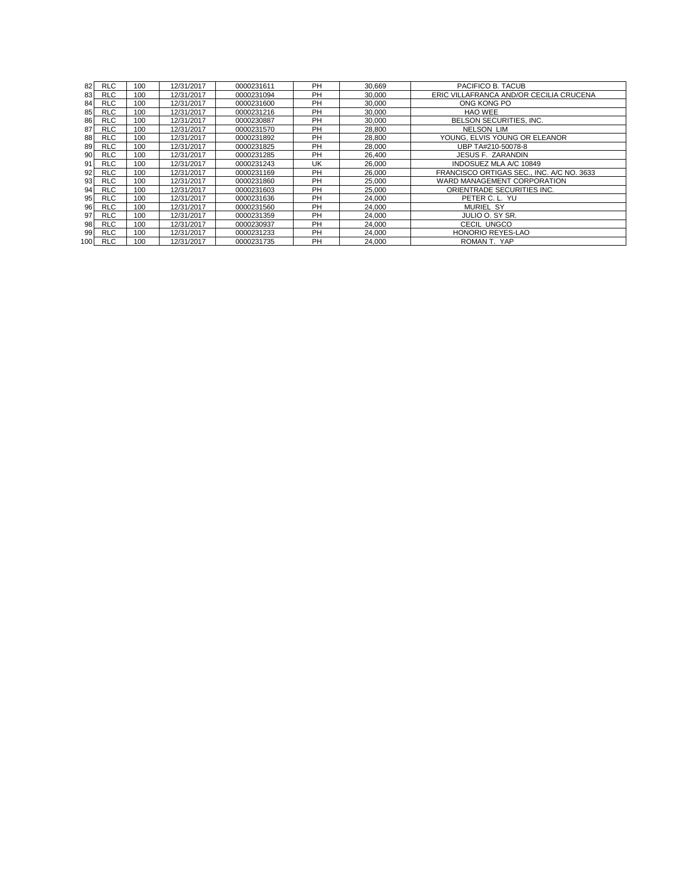| 82           | <b>RLC</b> | 100 | 12/31/2017 | 0000231611 | PH | 30.669 | PACIFICO B. TACUB                         |
|--------------|------------|-----|------------|------------|----|--------|-------------------------------------------|
| 83           | <b>RLC</b> | 100 | 12/31/2017 | 0000231094 | PH | 30,000 | ERIC VILLAFRANCA AND/OR CECILIA CRUCENA   |
| 84           | <b>RLC</b> | 100 | 12/31/2017 | 0000231600 | PH | 30.000 | ONG KONG PO                               |
| 85           | <b>RLC</b> | 100 | 12/31/2017 | 0000231216 | PH | 30,000 | HAO WEE                                   |
| 86           | <b>RLC</b> | 100 | 12/31/2017 | 0000230887 | PH | 30.000 | BELSON SECURITIES, INC.                   |
| 87           | <b>RLC</b> | 100 | 12/31/2017 | 0000231570 | PH | 28,800 | <b>NELSON LIM</b>                         |
| 88           | <b>RLC</b> | 100 | 12/31/2017 | 0000231892 | PH | 28,800 | YOUNG, ELVIS YOUNG OR ELEANOR             |
| 89           | <b>RLC</b> | 100 | 12/31/2017 | 0000231825 | PH | 28.000 | UBP TA#210-50078-8                        |
| 90           | <b>RLC</b> | 100 | 12/31/2017 | 0000231285 | PH | 26.400 | JESUS F. ZARANDIN                         |
| 91           | <b>RLC</b> | 100 | 12/31/2017 | 0000231243 | UK | 26.000 | INDOSUEZ MLA A/C 10849                    |
| 92           | <b>RLC</b> | 100 | 12/31/2017 | 0000231169 | PH | 26,000 | FRANCISCO ORTIGAS SEC., INC. A/C NO. 3633 |
| 93           | <b>RLC</b> | 100 | 12/31/2017 | 0000231860 | PH | 25,000 | WARD MANAGEMENT CORPORATION               |
| 94           | <b>RLC</b> | 100 | 12/31/2017 | 0000231603 | PH | 25.000 | ORIENTRADE SECURITIES INC.                |
| $95 \square$ | <b>RLC</b> | 100 | 12/31/2017 | 0000231636 | PH | 24.000 | PETER C. L. YU                            |
| 96           | <b>RLC</b> | 100 | 12/31/2017 | 0000231560 | PH | 24.000 | <b>MURIEL SY</b>                          |
| 97           | <b>RLC</b> | 100 | 12/31/2017 | 0000231359 | PH | 24.000 | JULIO O. SY SR.                           |
| 98           | <b>RLC</b> | 100 | 12/31/2017 | 0000230937 | PH | 24,000 | CECIL UNGCO                               |
| 99           | <b>RLC</b> | 100 | 12/31/2017 | 0000231233 | PH | 24.000 | <b>HONORIO REYES-LAO</b>                  |
| 100          | <b>RLC</b> | 100 | 12/31/2017 | 0000231735 | PH | 24,000 | ROMAN T. YAP                              |
|              |            |     |            |            |    |        |                                           |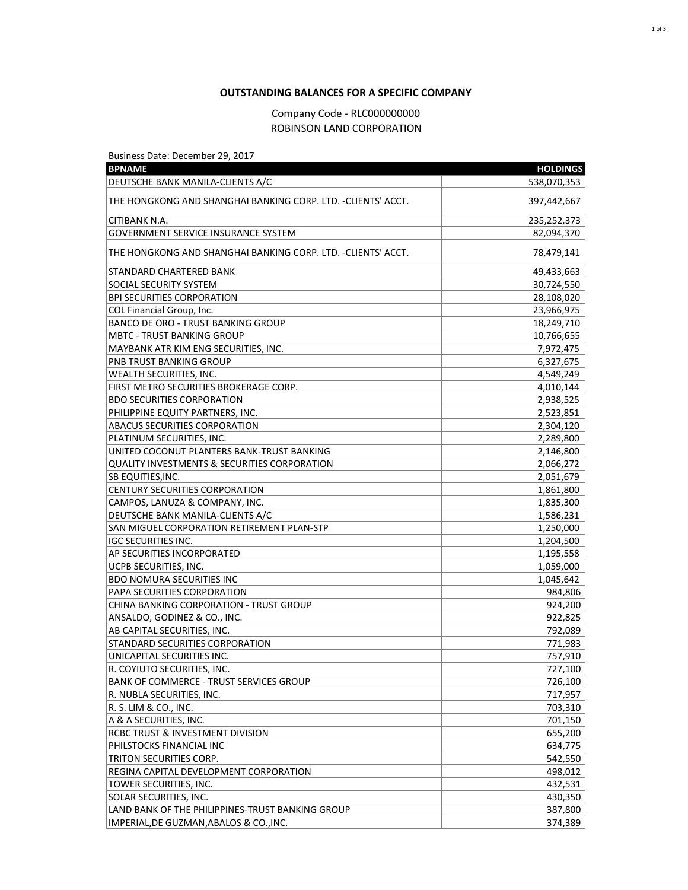## **OUTSTANDING BALANCES FOR A SPECIFIC COMPANY**

## Company Code - RLC000000000 ROBINSON LAND CORPORATION

Business Date: December 29, 2017

| <b>BPNAME</b>                                                | <b>HOLDINGS</b> |
|--------------------------------------------------------------|-----------------|
| DEUTSCHE BANK MANILA-CLIENTS A/C                             | 538,070,353     |
| THE HONGKONG AND SHANGHAI BANKING CORP. LTD. -CLIENTS' ACCT. | 397,442,667     |
| CITIBANK N.A.                                                | 235,252,373     |
| <b>GOVERNMENT SERVICE INSURANCE SYSTEM</b>                   | 82,094,370      |
| THE HONGKONG AND SHANGHAI BANKING CORP. LTD. -CLIENTS' ACCT. | 78,479,141      |
| STANDARD CHARTERED BANK                                      | 49,433,663      |
| SOCIAL SECURITY SYSTEM                                       | 30,724,550      |
| <b>BPI SECURITIES CORPORATION</b>                            | 28,108,020      |
| COL Financial Group, Inc.                                    | 23,966,975      |
| <b>BANCO DE ORO - TRUST BANKING GROUP</b>                    | 18,249,710      |
| <b>MBTC - TRUST BANKING GROUP</b>                            | 10,766,655      |
| MAYBANK ATR KIM ENG SECURITIES, INC.                         | 7,972,475       |
| PNB TRUST BANKING GROUP                                      | 6,327,675       |
| WEALTH SECURITIES, INC.                                      | 4,549,249       |
| FIRST METRO SECURITIES BROKERAGE CORP.                       | 4,010,144       |
| <b>BDO SECURITIES CORPORATION</b>                            | 2,938,525       |
| PHILIPPINE EQUITY PARTNERS, INC.                             | 2,523,851       |
| <b>ABACUS SECURITIES CORPORATION</b>                         | 2,304,120       |
| PLATINUM SECURITIES, INC.                                    | 2,289,800       |
| UNITED COCONUT PLANTERS BANK-TRUST BANKING                   | 2,146,800       |
| <b>QUALITY INVESTMENTS &amp; SECURITIES CORPORATION</b>      | 2,066,272       |
| SB EQUITIES, INC.                                            | 2,051,679       |
| <b>CENTURY SECURITIES CORPORATION</b>                        | 1,861,800       |
| CAMPOS, LANUZA & COMPANY, INC.                               | 1,835,300       |
| DEUTSCHE BANK MANILA-CLIENTS A/C                             | 1,586,231       |
| SAN MIGUEL CORPORATION RETIREMENT PLAN-STP                   | 1,250,000       |
| <b>IGC SECURITIES INC.</b>                                   | 1,204,500       |
| AP SECURITIES INCORPORATED                                   | 1,195,558       |
| UCPB SECURITIES, INC.                                        | 1,059,000       |
| <b>BDO NOMURA SECURITIES INC</b>                             | 1,045,642       |
| PAPA SECURITIES CORPORATION                                  | 984,806         |
| <b>CHINA BANKING CORPORATION - TRUST GROUP</b>               | 924,200         |
| ANSALDO, GODINEZ & CO., INC.                                 | 922,825         |
| AB CAPITAL SECURITIES, INC.                                  | 792,089         |
| STANDARD SECURITIES CORPORATION                              | 771,983         |
| UNICAPITAL SECURITIES INC.                                   | 757,910         |
| R. COYIUTO SECURITIES, INC.                                  | 727,100         |
| <b>BANK OF COMMERCE - TRUST SERVICES GROUP</b>               | 726,100         |
| R. NUBLA SECURITIES, INC.                                    | 717,957         |
| R. S. LIM & CO., INC.                                        | 703,310         |
| A & A SECURITIES, INC.                                       | 701,150         |
| RCBC TRUST & INVESTMENT DIVISION                             | 655,200         |
| PHILSTOCKS FINANCIAL INC                                     | 634,775         |
| TRITON SECURITIES CORP.                                      | 542,550         |
| REGINA CAPITAL DEVELOPMENT CORPORATION                       | 498,012         |
| TOWER SECURITIES, INC.                                       | 432,531         |
| SOLAR SECURITIES, INC.                                       | 430,350         |
| LAND BANK OF THE PHILIPPINES-TRUST BANKING GROUP             | 387,800         |
| IMPERIAL, DE GUZMAN, ABALOS & CO., INC.                      | 374,389         |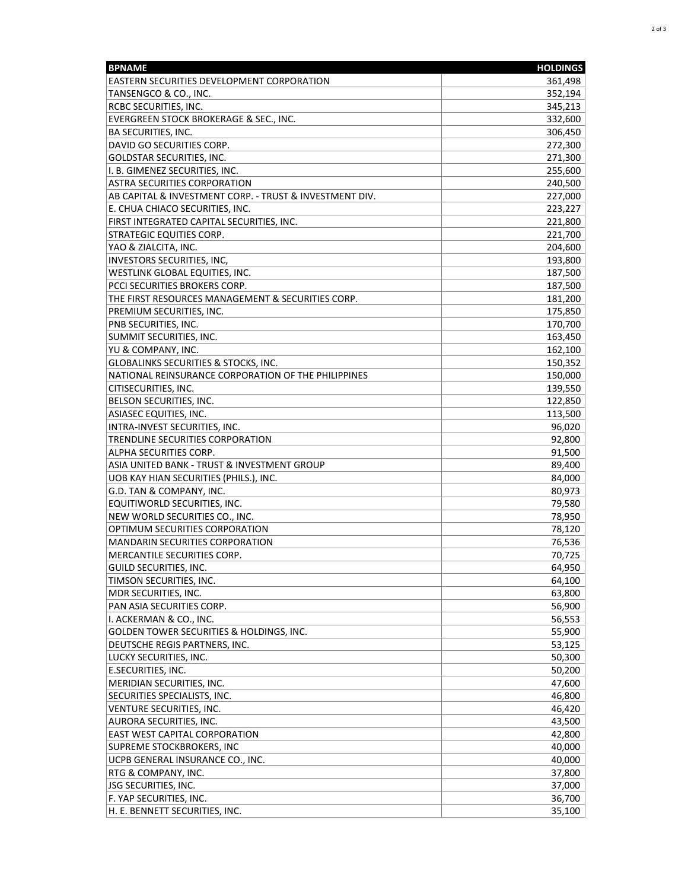| <b>BPNAME</b>                                           | <b>HOLDINGS</b> |
|---------------------------------------------------------|-----------------|
| <b>EASTERN SECURITIES DEVELOPMENT CORPORATION</b>       | 361,498         |
| TANSENGCO & CO., INC.                                   | 352,194         |
| <b>RCBC SECURITIES, INC.</b>                            | 345,213         |
| EVERGREEN STOCK BROKERAGE & SEC., INC.                  | 332,600         |
| <b>BA SECURITIES, INC.</b>                              | 306,450         |
| DAVID GO SECURITIES CORP.                               | 272,300         |
| <b>GOLDSTAR SECURITIES, INC.</b>                        | 271,300         |
| I. B. GIMENEZ SECURITIES, INC.                          | 255,600         |
| <b>ASTRA SECURITIES CORPORATION</b>                     | 240,500         |
| AB CAPITAL & INVESTMENT CORP. - TRUST & INVESTMENT DIV. | 227,000         |
| E. CHUA CHIACO SECURITIES, INC.                         | 223,227         |
| FIRST INTEGRATED CAPITAL SECURITIES, INC.               |                 |
|                                                         | 221,800         |
| <b>STRATEGIC EQUITIES CORP.</b>                         | 221,700         |
| YAO & ZIALCITA, INC.                                    | 204,600         |
| <b>INVESTORS SECURITIES, INC,</b>                       | 193,800         |
| WESTLINK GLOBAL EQUITIES, INC.                          | 187,500         |
| PCCI SECURITIES BROKERS CORP.                           | 187,500         |
| THE FIRST RESOURCES MANAGEMENT & SECURITIES CORP.       | 181,200         |
| PREMIUM SECURITIES, INC.                                | 175,850         |
| PNB SECURITIES, INC.                                    | 170,700         |
| SUMMIT SECURITIES, INC.                                 | 163,450         |
| YU & COMPANY, INC.                                      | 162,100         |
| <b>GLOBALINKS SECURITIES &amp; STOCKS, INC.</b>         | 150,352         |
| NATIONAL REINSURANCE CORPORATION OF THE PHILIPPINES     | 150,000         |
| CITISECURITIES, INC.                                    | 139,550         |
| <b>BELSON SECURITIES, INC.</b>                          | 122,850         |
| <b>ASIASEC EQUITIES, INC.</b>                           | 113,500         |
| INTRA-INVEST SECURITIES, INC.                           | 96,020          |
| TRENDLINE SECURITIES CORPORATION                        | 92,800          |
| ALPHA SECURITIES CORP.                                  | 91,500          |
| ASIA UNITED BANK - TRUST & INVESTMENT GROUP             | 89,400          |
| UOB KAY HIAN SECURITIES (PHILS.), INC.                  | 84,000          |
| G.D. TAN & COMPANY, INC.                                | 80,973          |
| EQUITIWORLD SECURITIES, INC.                            | 79,580          |
| NEW WORLD SECURITIES CO., INC.                          | 78,950          |
| OPTIMUM SECURITIES CORPORATION                          | 78,120          |
| <b>MANDARIN SECURITIES CORPORATION</b>                  | 76,536          |
| MERCANTILE SECURITIES CORP.                             | 70,725          |
| GUILD SECURITIES, INC.                                  | 64,950          |
| TIMSON SECURITIES, INC.                                 | 64,100          |
| MDR SECURITIES, INC.                                    | 63,800          |
| PAN ASIA SECURITIES CORP.                               | 56,900          |
| I. ACKERMAN & CO., INC.                                 | 56,553          |
| GOLDEN TOWER SECURITIES & HOLDINGS, INC.                | 55,900          |
| DEUTSCHE REGIS PARTNERS, INC.                           |                 |
|                                                         | 53,125          |
| LUCKY SECURITIES, INC.                                  | 50,300          |
| E.SECURITIES, INC.                                      | 50,200          |
| MERIDIAN SECURITIES, INC.                               | 47,600          |
| SECURITIES SPECIALISTS, INC.                            | 46,800          |
| VENTURE SECURITIES, INC.                                | 46,420          |
| <b>AURORA SECURITIES, INC.</b>                          | 43,500          |
| <b>EAST WEST CAPITAL CORPORATION</b>                    | 42,800          |
| SUPREME STOCKBROKERS, INC                               | 40,000          |
| UCPB GENERAL INSURANCE CO., INC.                        | 40,000          |
| RTG & COMPANY, INC.                                     | 37,800          |
| <b>JSG SECURITIES, INC.</b>                             | 37,000          |
| F. YAP SECURITIES, INC.                                 | 36,700          |
| H. E. BENNETT SECURITIES, INC.                          | 35,100          |